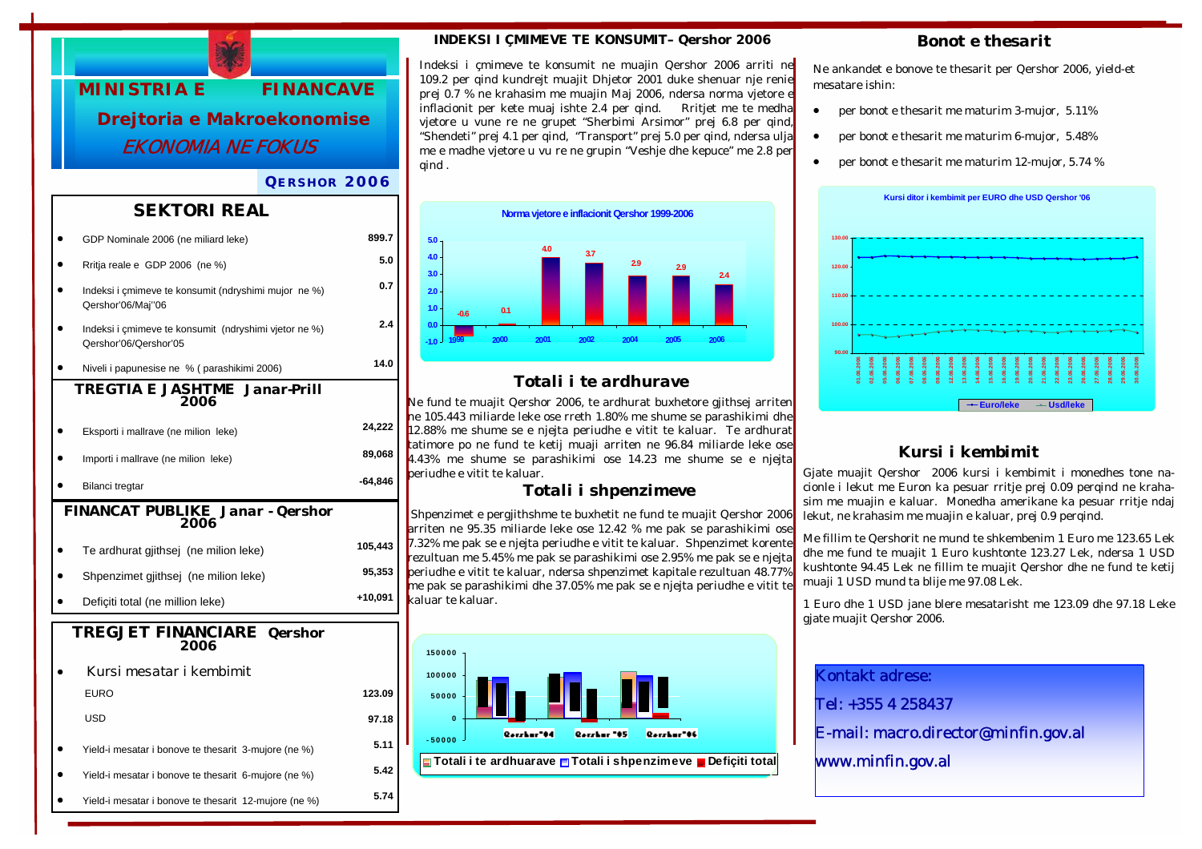

#### *QERSHOR 2006*

#### *SEKTORI REAL*

|                                                 | GDP Nominale 2006 (ne miliard leke)                                            | 899.7   |  |
|-------------------------------------------------|--------------------------------------------------------------------------------|---------|--|
|                                                 | Rritja reale e GDP 2006 (ne %)                                                 | 5.0     |  |
|                                                 | Indeksi i çmimeve te konsumit (ndryshimi mujor ne %)<br>Qershor'06/Maj"06      | 0.7     |  |
|                                                 | Indeksi i çmimeve te konsumit (ndryshimi vjetor ne %)<br>Qershor'06/Qershor'05 | 2.4     |  |
|                                                 | Niveli i papunesise ne % (parashikimi 2006)                                    | 14.0    |  |
| TREGTIA E JASHTME Janar-Prill<br>2006           |                                                                                |         |  |
|                                                 | Eksporti i mallrave (ne milion leke)                                           | 24,222  |  |
|                                                 | Importi i mallrave (ne milion leke)                                            | 89,068  |  |
|                                                 | Bilanci tregtar                                                                | -64,846 |  |
| <b>FINANCAT PUBLIKE Janar - Qershor</b><br>2006 |                                                                                |         |  |
|                                                 | Te ardhurat gjithsej (ne milion leke)                                          | 105,443 |  |
|                                                 | Shpenzimet gjithsej (ne milion leke)                                           | 95,353  |  |
|                                                 | Deficiti total (ne million leke)                                               | +10,091 |  |
| <b>TREGJET FINANCIARE</b> Qershor<br>2006       |                                                                                |         |  |
|                                                 | Kursi mesatar i kembimit                                                       |         |  |
|                                                 | <b>EURO</b>                                                                    | 123.09  |  |
|                                                 | <b>USD</b>                                                                     | 97.18   |  |
|                                                 | Yield-i mesatar i bonove te thesarit 3-mujore (ne %)                           | 5.11    |  |
|                                                 |                                                                                |         |  |
|                                                 | Yield-i mesatar i bonove te thesarit 6-mujore (ne %)                           | 5.42    |  |

#### *INDEKSI I ÇMIMEVE TE KONSUMIT– Qershor 2006*

Indeksi i çmimeve te konsumit ne muajin Qershor 2006 arriti ne 109.2 per qind kundrejt muajit Dhjetor 2001 duke shenuar nje renie prej 0.7 % ne krahasim me muajin Maj 2006, ndersa norma vjetore e inflacionit per kete muaj ishte 2.4 per qind. Rritjet me te medha vjetore u vune re ne grupet "Sherbimi Arsimor" prej 6.8 per qind, "Shendeti" prej 4.1 per qind, "Transport" prej 5.0 per qind, ndersa ulja me e madhe vjetore u vu re ne grupin "Veshje dhe kepuce" me 2.8 per qind .



## *Totali i te ardhurave*

Ne fund te muajit Qershor 2006, te ardhurat buxhetore gjithsej arriten ne 105.443 miliarde leke ose rreth 1.80% me shume se parashikimi dhe 12.88% me shume se e njejta periudhe e vitit te kaluar. Te ardhurat tatimore po ne fund te ketij muaji arriten ne 96.84 miliarde leke ose 4.43% me shume se parashikimi ose 14.23 me shume se e njejta periudhe e vitit te kaluar.

#### *Totali i shpenzimeve*

 Shpenzimet e pergjithshme te buxhetit ne fund te muajit Qershor 2006 arriten ne 95.35 miliarde leke ose 12.42 % me pak se parashikimi ose 7.32% me pak se e njejta periudhe e vitit te kaluar. Shpenzimet korente rezultuan me 5.45% me pak se parashikimi ose 2.95% me pak se e njejta periudhe e vitit te kaluar, ndersa shpenzimet kapitale rezultuan 48.77% me pak se parashikimi dhe 37.05% me pak se e njejta periudhe e vitit te kaluar te kaluar.



#### *Bonot e thesarit*

Ne ankandet e bonove te thesarit per Qershor 2006, yield-et mesatare ishin:

- per bonot e thesarit me maturim 3-mujor, 5.11%
- per bonot e thesarit me maturim 6-mujor, 5.48%
- per bonot e thesarit me maturim 12-mujor, 5.74 %



# *Kursi i kembimit*

Gjate muajit Qershor 2006 kursi i kembimit i monedhes tone nacionle i lekut me Euron ka pesuar rritje prej 0.09 perqind ne krahasim me muajin e kaluar. Monedha amerikane ka pesuar rritje ndaj lekut, ne krahasim me muajin e kaluar, prej 0.9 perqind.

Me fillim te Qershorit ne mund te shkembenim 1 Euro me 123.65 Lek dhe me fund te muajit 1 Euro kushtonte 123.27 Lek, ndersa 1 USD kushtonte 94.45 Lek ne fillim te muajit Qershor dhe ne fund te ketij muaji 1 USD mund ta blije me 97.08 Lek.

1 Euro dhe 1 USD jane blere mesatarisht me 123.09 dhe 97.18 Leke gjate muajit Qershor 2006.

Kontakt adrese:

Tel: +355 4 258437

E-mail: macro.director@minfin.gov.al

www.minfin.gov.al